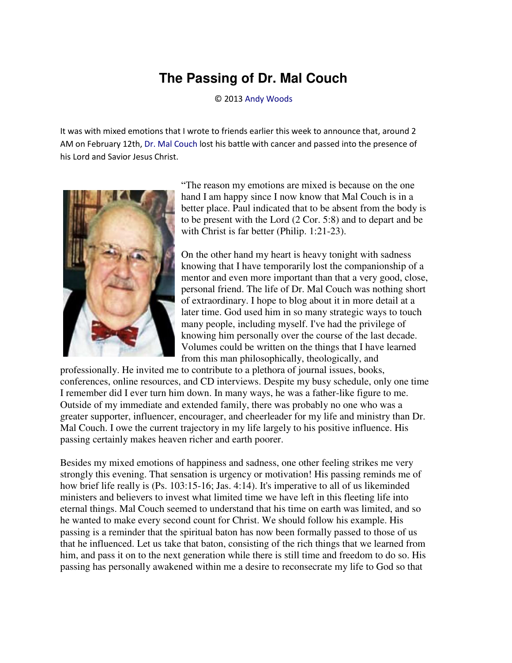## **The Passing of Dr. Mal Couch**

© 2013 [Andy Woods](http://www.spiritandtruth.org/id/aw.htm)

It was with mixed emotions that I wrote to friends earlier this week to announce that, around 2 AM on February 12th[, Dr. Mal Couch](http://en.wikipedia.org/wiki/Mal_Couch) lost his battle with cancer and passed into the presence of his Lord and Savior Jesus Christ.



"The reason my emotions are mixed is because on the one hand I am happy since I now know that Mal Couch is in a better place. Paul indicated that to be absent from the body is to be present with the Lord (2 Cor. 5:8) and to depart and be with Christ is far better (Philip. 1:21-23).

On the other hand my heart is heavy tonight with sadness knowing that I have temporarily lost the companionship of a mentor and even more important than that a very good, close, personal friend. The life of Dr. Mal Couch was nothing short of extraordinary. I hope to blog about it in more detail at a later time. God used him in so many strategic ways to touch many people, including myself. I've had the privilege of knowing him personally over the course of the last decade. Volumes could be written on the things that I have learned from this man philosophically, theologically, and

professionally. He invited me to contribute to a plethora of journal issues, books, conferences, online resources, and CD interviews. Despite my busy schedule, only one time I remember did I ever turn him down. In many ways, he was a father-like figure to me. Outside of my immediate and extended family, there was probably no one who was a greater supporter, influencer, encourager, and cheerleader for my life and ministry than Dr. Mal Couch. I owe the current trajectory in my life largely to his positive influence. His passing certainly makes heaven richer and earth poorer.

Besides my mixed emotions of happiness and sadness, one other feeling strikes me very strongly this evening. That sensation is urgency or motivation! His passing reminds me of how brief life really is (Ps. 103:15-16; Jas. 4:14). It's imperative to all of us likeminded ministers and believers to invest what limited time we have left in this fleeting life into eternal things. Mal Couch seemed to understand that his time on earth was limited, and so he wanted to make every second count for Christ. We should follow his example. His passing is a reminder that the spiritual baton has now been formally passed to those of us that he influenced. Let us take that baton, consisting of the rich things that we learned from him, and pass it on to the next generation while there is still time and freedom to do so. His passing has personally awakened within me a desire to reconsecrate my life to God so that